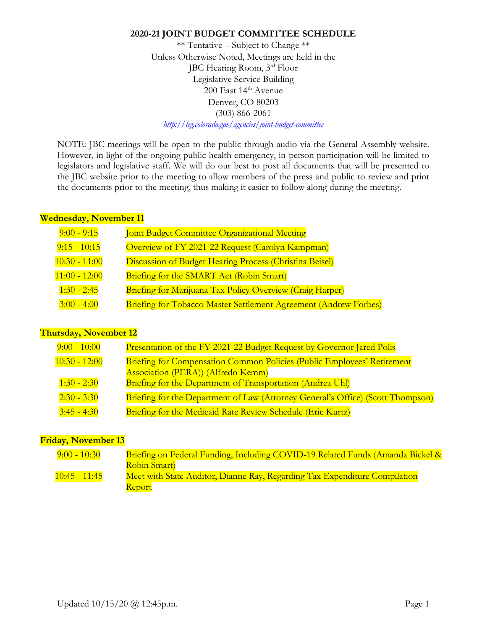\*\* Tentative – Subject to Change \*\* Unless Otherwise Noted, Meetings are held in the JBC Hearing Room, 3rd Floor Legislative Service Building 200 East 14<sup>th</sup> Avenue Denver, CO 80203 (303) 866-2061 *<http://leg.colorado.gov/agencies/joint-budget-committee>*

NOTE: JBC meetings will be open to the public through audio via the General Assembly website. However, in light of the ongoing public health emergency, in-person participation will be limited to legislators and legislative staff. We will do our best to post all documents that will be presented to the JBC website prior to the meeting to allow members of the press and public to review and print the documents prior to the meeting, thus making it easier to follow along during the meeting.

### **Wednesday, November 11**

| $9:00 - 9:15$   | Joint Budget Committee Organizational Meeting                           |
|-----------------|-------------------------------------------------------------------------|
| $9:15 - 10:15$  | Overview of FY 2021-22 Request (Carolyn Kampman)                        |
| $10:30 - 11:00$ | <b>Discussion of Budget Hearing Process (Christina Beisel)</b>          |
| $11:00 - 12:00$ | Briefing for the SMART Act (Robin Smart)                                |
| $1:30 - 2:45$   | <b>Briefing for Marijuana Tax Policy Overview (Craig Harper)</b>        |
| $3:00 - 4:00$   | <b>Briefing for Tobacco Master Settlement Agreement (Andrew Forbes)</b> |

# **Thursday, November 12**

| $9:00 - 10:00$  | Presentation of the FY 2021-22 Budget Request by Governor Jared Polis                                         |
|-----------------|---------------------------------------------------------------------------------------------------------------|
| $10:30 - 12:00$ | Briefing for Compensation Common Policies (Public Employees' Retirement<br>Association (PERA)) (Alfredo Kemm) |
| $1:30 - 2:30$   | Briefing for the Department of Transportation (Andrea Uhl)                                                    |
| $2:30 - 3:30$   | Briefing for the Department of Law (Attorney General's Office) (Scott Thompson)                               |
| $3:45 - 4:30$   | Briefing for the Medicaid Rate Review Schedule (Eric Kurtz)                                                   |

# **Friday, November 13**

| $9:00 - 10:30$        | Briefing on Federal Funding, Including COVID-19 Related Funds (Amanda Bickel & |
|-----------------------|--------------------------------------------------------------------------------|
|                       | Robin Smart)                                                                   |
| <u> 10:45 - 11:45</u> | Meet with State Auditor, Dianne Ray, Regarding Tax Expenditure Compilation     |
|                       | <b>Report</b>                                                                  |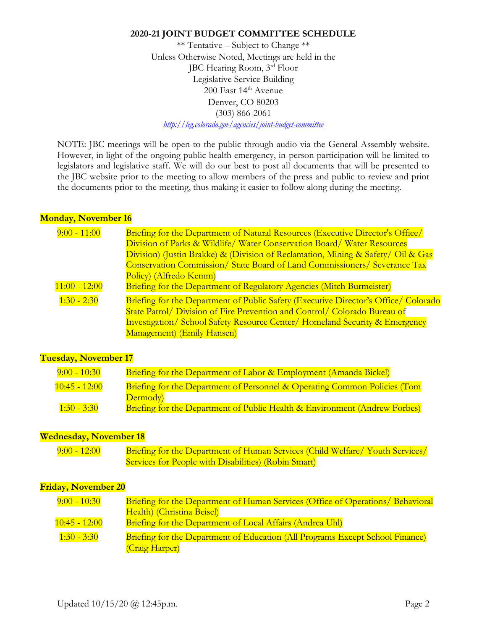\*\* Tentative – Subject to Change \*\* Unless Otherwise Noted, Meetings are held in the JBC Hearing Room, 3rd Floor Legislative Service Building 200 East 14<sup>th</sup> Avenue Denver, CO 80203 (303) 866-2061 *<http://leg.colorado.gov/agencies/joint-budget-committee>*

NOTE: JBC meetings will be open to the public through audio via the General Assembly website. However, in light of the ongoing public health emergency, in-person participation will be limited to legislators and legislative staff. We will do our best to post all documents that will be presented to the JBC website prior to the meeting to allow members of the press and public to review and print the documents prior to the meeting, thus making it easier to follow along during the meeting.

## **Monday, November 16**

| $9:00 - 11:00$  | Briefing for the Department of Natural Resources (Executive Director's Office/<br>Division of Parks & Wildlife/ Water Conservation Board/ Water Resources<br>Division) (Justin Brakke) & (Division of Reclamation, Mining & Safety/ Oil & Gas<br>Conservation Commission/ State Board of Land Commissioners/ Severance Tax |
|-----------------|----------------------------------------------------------------------------------------------------------------------------------------------------------------------------------------------------------------------------------------------------------------------------------------------------------------------------|
| $11:00 - 12:00$ | Policy) (Alfredo Kemm)<br>Briefing for the Department of Regulatory Agencies (Mitch Burmeister)                                                                                                                                                                                                                            |
| $1:30 - 2:30$   | Briefing for the Department of Public Safety (Executive Director's Office/ Colorado<br>State Patrol/ Division of Fire Prevention and Control/ Colorado Bureau of<br><b>Investigation/ School Safety Resource Center/ Homeland Security &amp; Emergency</b><br>Management) (Emily Hansen)                                   |

# **Tuesday, November 17**

| $9:00 - 10:30$  | <b>Briefing for the Department of Labor &amp; Employment (Amanda Bickel)</b> |
|-----------------|------------------------------------------------------------------------------|
| $10:45 - 12:00$ | Briefing for the Department of Personnel & Operating Common Policies (Tom    |
|                 | Dermody)                                                                     |
| $1:30 - 3:30$   | Briefing for the Department of Public Health & Environment (Andrew Forbes)   |

### **Wednesday, November 18**

| $9:00 - 12:00$ | Briefing for the Department of Human Services (Child Welfare/Youth Services/ |
|----------------|------------------------------------------------------------------------------|
|                | <b>Services for People with Disabilities</b> (Robin Smart)                   |

## **Friday, November 20**

| $9:00 - 10:30$  | Briefing for the Department of Human Services (Office of Operations/ Behavioral |
|-----------------|---------------------------------------------------------------------------------|
|                 | Health) (Christina Beisel)                                                      |
| $10:45 - 12:00$ | <b>Briefing for the Department of Local Affairs (Andrea Uhl)</b>                |
| $1:30 - 3:30$   | Briefing for the Department of Education (All Programs Except School Finance)   |
|                 | (Craig Harper)                                                                  |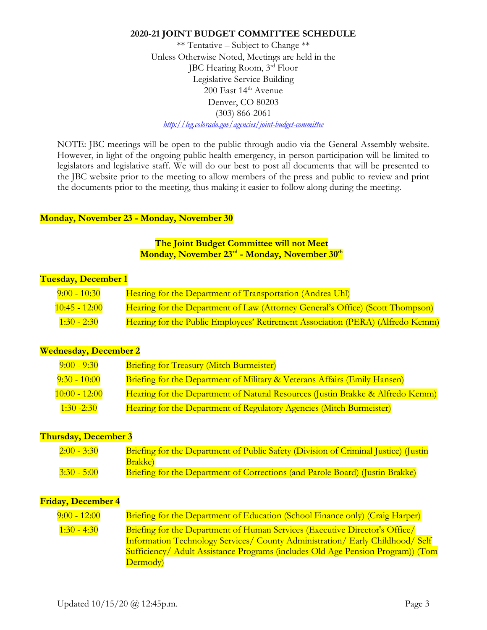\*\* Tentative – Subject to Change \*\* Unless Otherwise Noted, Meetings are held in the JBC Hearing Room, 3rd Floor Legislative Service Building 200 East 14<sup>th</sup> Avenue Denver, CO 80203 (303) 866-2061 *<http://leg.colorado.gov/agencies/joint-budget-committee>*

NOTE: JBC meetings will be open to the public through audio via the General Assembly website. However, in light of the ongoing public health emergency, in-person participation will be limited to legislators and legislative staff. We will do our best to post all documents that will be presented to the JBC website prior to the meeting to allow members of the press and public to review and print the documents prior to the meeting, thus making it easier to follow along during the meeting.

### **Monday, November 23 - Monday, November 30**

**The Joint Budget Committee will not Meet Monday, November 23rd - Monday, November 30th**

### **Tuesday, December 1**

| $9:00 - 10:30$  | Hearing for the Department of Transportation (Andrea Uhl)                      |
|-----------------|--------------------------------------------------------------------------------|
| $10:45 - 12:00$ | Hearing for the Department of Law (Attorney General's Office) (Scott Thompson) |
| $1:30 - 2:30$   | Hearing for the Public Employees' Retirement Association (PERA) (Alfredo Kemm) |

### **Wednesday, December 2**

| $9:00 - 9:30$   | <b>Briefing for Treasury (Mitch Burmeister)</b>                                |
|-----------------|--------------------------------------------------------------------------------|
| $9:30 - 10:00$  | Briefing for the Department of Military & Veterans Affairs (Emily Hansen)      |
| $10:00 - 12:00$ | Hearing for the Department of Natural Resources (Justin Brakke & Alfredo Kemm) |
| $1:30 - 2:30$   | Hearing for the Department of Regulatory Agencies (Mitch Burmeister)           |

### **Thursday, December 3**

| $2:00 - 3:30$ | Briefing for the Department of Public Safety (Division of Criminal Justice) (Justin  |
|---------------|--------------------------------------------------------------------------------------|
|               | Brakke)                                                                              |
| $3:30 - 5:00$ | <b>Briefing for the Department of Corrections (and Parole Board) (Justin Brakke)</b> |

### **Friday, December 4**

| $9:00 - 12:00$ | Briefing for the Department of Education (School Finance only) (Craig Harper)      |
|----------------|------------------------------------------------------------------------------------|
| $1:30 - 4:30$  | <b>Briefing for the Department of Human Services (Executive Director's Office/</b> |
|                | Information Technology Services/ County Administration/ Early Childhood/ Self      |
|                | Sufficiency Adult Assistance Programs (includes Old Age Pension Program)) (Tom     |
|                | Dermody)                                                                           |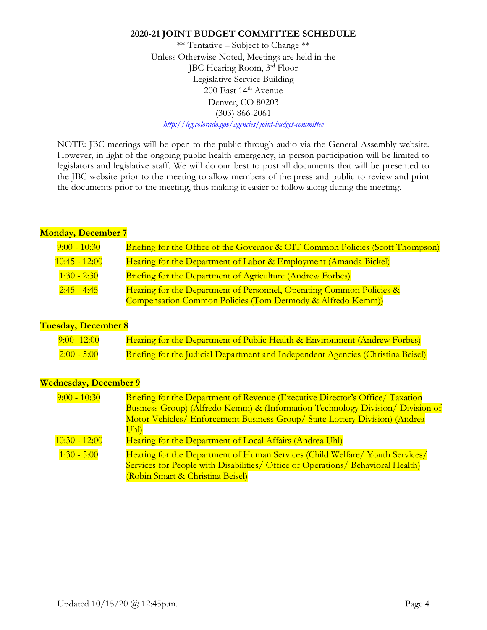\*\* Tentative – Subject to Change \*\* Unless Otherwise Noted, Meetings are held in the JBC Hearing Room, 3rd Floor Legislative Service Building 200 East 14<sup>th</sup> Avenue Denver, CO 80203 (303) 866-2061 *<http://leg.colorado.gov/agencies/joint-budget-committee>*

NOTE: JBC meetings will be open to the public through audio via the General Assembly website. However, in light of the ongoing public health emergency, in-person participation will be limited to legislators and legislative staff. We will do our best to post all documents that will be presented to the JBC website prior to the meeting to allow members of the press and public to review and print the documents prior to the meeting, thus making it easier to follow along during the meeting.

## **Monday, December 7**

| $9:00 - 10:30$     | Briefing for the Office of the Governor & OIT Common Policies (Scott Thompson) |
|--------------------|--------------------------------------------------------------------------------|
| $10:45 - 12:00$    | Hearing for the Department of Labor & Employment (Amanda Bickel)               |
| $1:30 - 2:30$      | <b>Briefing for the Department of Agriculture (Andrew Forbes)</b>              |
| <u>2:45 - 4:45</u> | Hearing for the Department of Personnel, Operating Common Policies &           |
|                    | Compensation Common Policies (Tom Dermody & Alfredo Kemm))                     |

# **Tuesday, December 8**

| $9:00 - 12:00$ | Hearing for the Department of Public Health & Environment (Andrew Forbes)        |
|----------------|----------------------------------------------------------------------------------|
| $2:00 - 5:00$  | Briefing for the Judicial Department and Independent Agencies (Christina Beisel) |

# **Wednesday, December 9**

| $9:00 - 10:30$  | <b>Briefing for the Department of Revenue (Executive Director's Office/ Taxation</b> |
|-----------------|--------------------------------------------------------------------------------------|
|                 | Business Group) (Alfredo Kemm) & (Information Technology Division/ Division of       |
|                 | Motor Vehicles/ Enforcement Business Group/ State Lottery Division) (Andrea          |
|                 | Uhl)                                                                                 |
| $10:30 - 12:00$ | Hearing for the Department of Local Affairs (Andrea Uhl)                             |
| $1:30 - 5:00$   | Hearing for the Department of Human Services (Child Welfare Youth Services)          |
|                 | Services for People with Disabilities/ Office of Operations/ Behavioral Health)      |
|                 | (Robin Smart & Christina Beisel)                                                     |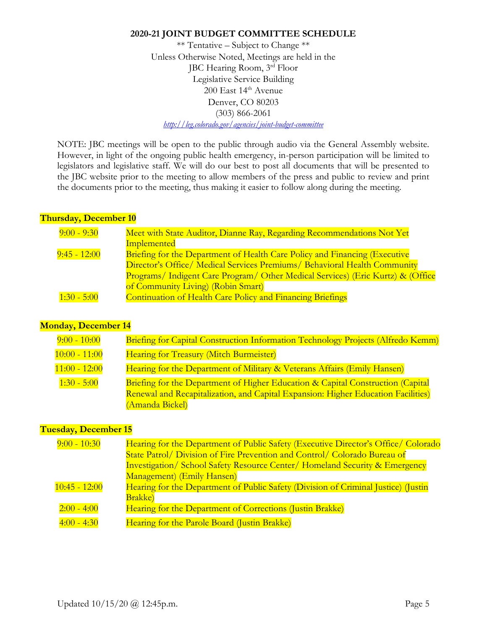\*\* Tentative – Subject to Change \*\* Unless Otherwise Noted, Meetings are held in the JBC Hearing Room, 3rd Floor Legislative Service Building 200 East 14<sup>th</sup> Avenue Denver, CO 80203 (303) 866-2061 *<http://leg.colorado.gov/agencies/joint-budget-committee>*

NOTE: JBC meetings will be open to the public through audio via the General Assembly website. However, in light of the ongoing public health emergency, in-person participation will be limited to legislators and legislative staff. We will do our best to post all documents that will be presented to the JBC website prior to the meeting to allow members of the press and public to review and print the documents prior to the meeting, thus making it easier to follow along during the meeting.

## **Thursday, December 10**

| $9:00 - 9:30$  | Meet with State Auditor, Dianne Ray, Regarding Recommendations Not Yet          |
|----------------|---------------------------------------------------------------------------------|
|                | <b>Implemented</b>                                                              |
| $9:45 - 12:00$ | Briefing for the Department of Health Care Policy and Financing (Executive      |
|                | Director's Office/ Medical Services Premiums/ Behavioral Health Community       |
|                | Programs/ Indigent Care Program/ Other Medical Services) (Eric Kurtz) & (Office |
|                | of Community Living) (Robin Smart)                                              |
| $1:30 - 5:00$  | <b>Continuation of Health Care Policy and Financing Briefings</b>               |

# **Monday, December 14**

| $9:00 - 10:00$  | Briefing for Capital Construction Information Technology Projects (Alfredo Kemm)  |
|-----------------|-----------------------------------------------------------------------------------|
| $10:00 - 11:00$ | <b>Hearing for Treasury (Mitch Burmeister)</b>                                    |
| $11:00 - 12:00$ | Hearing for the Department of Military & Veterans Affairs (Emily Hansen)          |
| $1:30 - 5:00$   | Briefing for the Department of Higher Education & Capital Construction (Capital   |
|                 | Renewal and Recapitalization, and Capital Expansion: Higher Education Facilities) |
|                 | (Amanda Bickel)                                                                   |

### **Tuesday, December 15**

| $9:00 - 10:30$  | Hearing for the Department of Public Safety (Executive Director's Office/ Colorado     |
|-----------------|----------------------------------------------------------------------------------------|
|                 | State Patrol/ Division of Fire Prevention and Control/ Colorado Bureau of              |
|                 | <b>Investigation/ School Safety Resource Center/ Homeland Security &amp; Emergency</b> |
|                 | Management) (Emily Hansen)                                                             |
| $10:45 - 12:00$ | Hearing for the Department of Public Safety (Division of Criminal Justice) (Justin     |
|                 | <b>Brakke</b> )                                                                        |
| $2:00 - 4:00$   | Hearing for the Department of Corrections (Justin Brakke)                              |
| $4:00 - 4:30$   | Hearing for the Parole Board (Justin Brakke)                                           |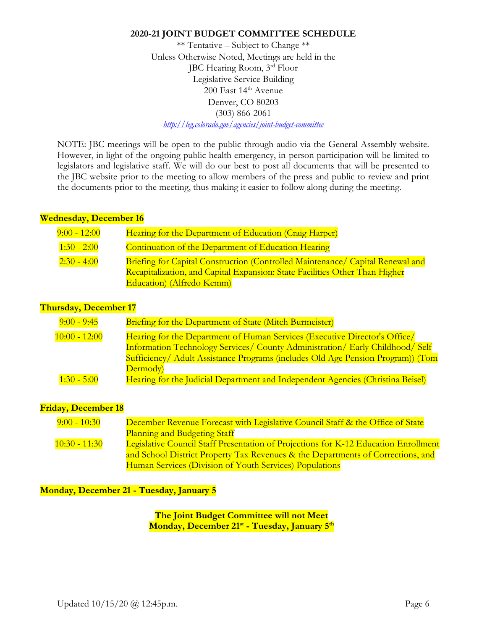\*\* Tentative – Subject to Change \*\* Unless Otherwise Noted, Meetings are held in the JBC Hearing Room, 3rd Floor Legislative Service Building 200 East 14<sup>th</sup> Avenue Denver, CO 80203 (303) 866-2061 *<http://leg.colorado.gov/agencies/joint-budget-committee>*

NOTE: JBC meetings will be open to the public through audio via the General Assembly website. However, in light of the ongoing public health emergency, in-person participation will be limited to legislators and legislative staff. We will do our best to post all documents that will be presented to the JBC website prior to the meeting to allow members of the press and public to review and print the documents prior to the meeting, thus making it easier to follow along during the meeting.

### **Wednesday, December 16**

| $9:00 - 12:00$ | Hearing for the Department of Education (Craig Harper)                                |
|----------------|---------------------------------------------------------------------------------------|
| $1:30 - 2:00$  | Continuation of the Department of Education Hearing                                   |
| $2:30 - 4:00$  | <b>Briefing for Capital Construction (Controlled Maintenance/ Capital Renewal and</b> |
|                | Recapitalization, and Capital Expansion: State Facilities Other Than Higher           |
|                | Education) (Alfredo Kemm)                                                             |

## **Thursday, December 17**

| $9:00 - 9:45$   | <b>Briefing for the Department of State (Mitch Burmeister)</b>                  |
|-----------------|---------------------------------------------------------------------------------|
| $10:00 - 12:00$ | Hearing for the Department of Human Services (Executive Director's Office/      |
|                 | Information Technology Services/ County Administration/ Early Childhood/ Self   |
|                 | Sufficiency Adult Assistance Programs (includes Old Age Pension Program)) (Tom  |
|                 | Dermody)                                                                        |
| $1:30 - 5:00$   | Hearing for the Judicial Department and Independent Agencies (Christina Beisel) |

### **Friday, December 18**

| $9:00 - 10:30$  | December Revenue Forecast with Legislative Council Staff & the Office of State      |
|-----------------|-------------------------------------------------------------------------------------|
|                 | <b>Planning and Budgeting Staff</b>                                                 |
| $10:30 - 11:30$ | Legislative Council Staff Presentation of Projections for K-12 Education Enrollment |
|                 | and School District Property Tax Revenues & the Departments of Corrections, and     |
|                 | Human Services (Division of Youth Services) Populations                             |

**Monday, December 21 - Tuesday, January 5**

**The Joint Budget Committee will not Meet Monday, December 21st - Tuesday, January 5th**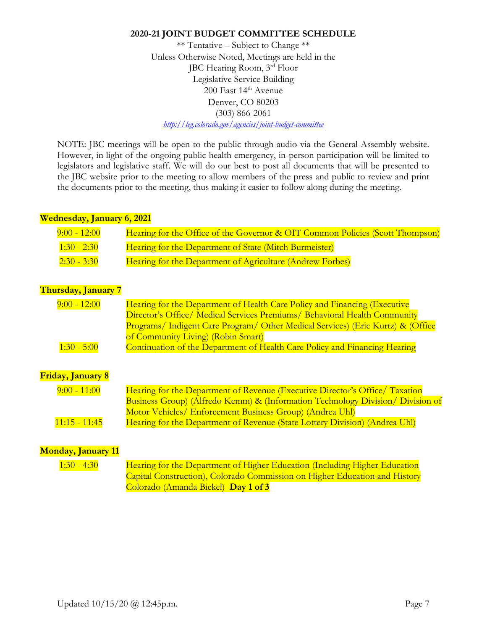\*\* Tentative – Subject to Change \*\* Unless Otherwise Noted, Meetings are held in the JBC Hearing Room, 3rd Floor Legislative Service Building 200 East 14<sup>th</sup> Avenue Denver, CO 80203 (303) 866-2061 *<http://leg.colorado.gov/agencies/joint-budget-committee>*

NOTE: JBC meetings will be open to the public through audio via the General Assembly website. However, in light of the ongoing public health emergency, in-person participation will be limited to legislators and legislative staff. We will do our best to post all documents that will be presented to the JBC website prior to the meeting to allow members of the press and public to review and print the documents prior to the meeting, thus making it easier to follow along during the meeting.

## **Wednesday, January 6, 2021**

| $9:00 - 12:00$ | Hearing for the Office of the Governor & OIT Common Policies (Scott Thompson) |
|----------------|-------------------------------------------------------------------------------|
| $1:30 - 2:30$  | Hearing for the Department of State (Mitch Burmeister)                        |
| $2:30 - 3:30$  | Hearing for the Department of Agriculture (Andrew Forbes)                     |

# **Thursday, January 7**

| $9:00 - 12:00$           | Hearing for the Department of Health Care Policy and Financing (Executive<br>Director's Office/ Medical Services Premiums/ Behavioral Health Community |
|--------------------------|--------------------------------------------------------------------------------------------------------------------------------------------------------|
|                          | Programs/ Indigent Care Program/ Other Medical Services) (Eric Kurtz) & (Office                                                                        |
|                          | of Community Living) (Robin Smart)                                                                                                                     |
| $1:30 - 5:00$            | Continuation of the Department of Health Care Policy and Financing Hearing                                                                             |
|                          |                                                                                                                                                        |
|                          |                                                                                                                                                        |
| <b>Friday, January 8</b> |                                                                                                                                                        |
| $9:00 - 11:00$           | Hearing for the Department of Revenue (Executive Director's Office/Taxation                                                                            |
|                          | Business Group) (Alfredo Kemm) & (Information Technology Division/ Division of                                                                         |
|                          | Motor Vehicles/ Enforcement Business Group) (Andrea Uhl)                                                                                               |
| $11:15 - 11:45$          | Hearing for the Department of Revenue (State Lottery Division) (Andrea Uhl)                                                                            |

# **Monday, January 11**

1:30 - 4:30 Hearing for the Department of Higher Education (Including Higher Education Capital Construction), Colorado Commission on Higher Education and History Colorado (Amanda Bickel) **Day 1 of 3**